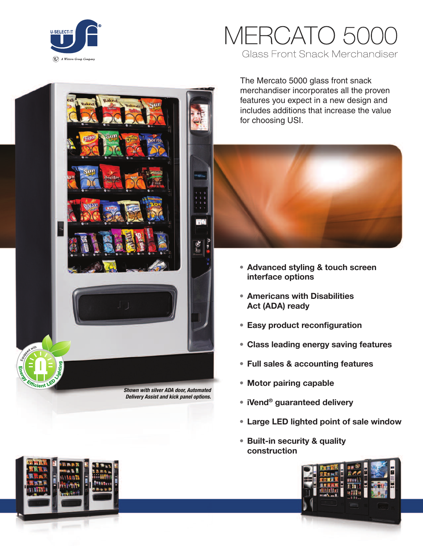

# IERCATO 5 **Glass Front Snack Merchandiser**

The Mercato 5000 glass front snack merchandiser incorporates all the proven features you expect in a new design and includes additions that increase the value for choosing USI.



- **• Advanced styling & touch screen interface options**
- **• Americans with Disabilities Act (ADA) ready**
- **• Easy product reconfiguration**
- **• Class leading energy saving features**
- **• Full sales & accounting features**
- **• Motor pairing capable**
- **• iVend® guaranteed delivery**
- **• Large LED lighted point of sale window**
- **• Built-in security & quality construction**





*Delivery Assist and kick panel options.*